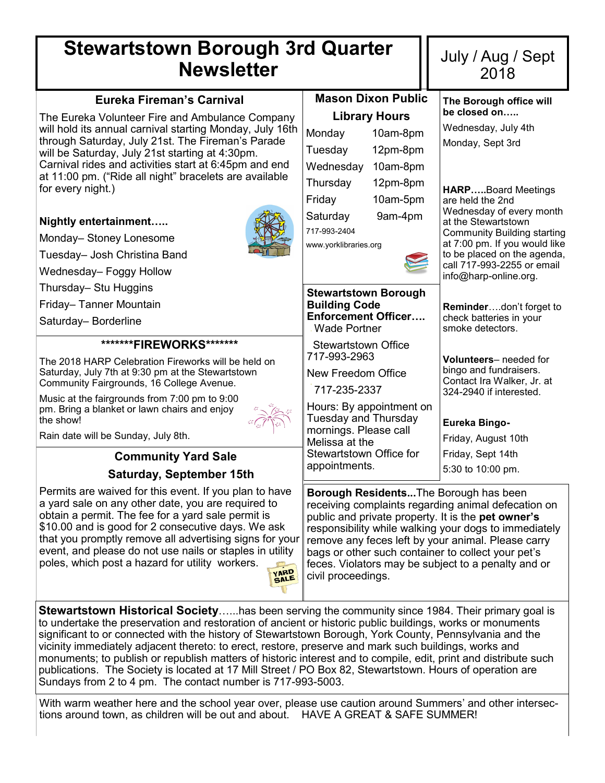## **Stewartstown Borough 3rd Quarter Newsletter**

| Eureka Fireman's Carnival                                                                                           | <b>Mason Dixon Public</b>                                                                                                                                                | The Borough office will                                             |  |
|---------------------------------------------------------------------------------------------------------------------|--------------------------------------------------------------------------------------------------------------------------------------------------------------------------|---------------------------------------------------------------------|--|
| The Eureka Volunteer Fire and Ambulance Company                                                                     | <b>Library Hours</b>                                                                                                                                                     | be closed on                                                        |  |
| will hold its annual carnival starting Monday, July 16th<br>through Saturday, July 21st. The Fireman's Parade       | 10am-8pm<br>Monday                                                                                                                                                       | Wednesday, July 4th                                                 |  |
| will be Saturday, July 21st starting at 4:30pm.                                                                     | Tuesday<br>12pm-8pm                                                                                                                                                      | Monday, Sept 3rd                                                    |  |
| Carnival rides and activities start at 6:45pm and end                                                               | Wednesday<br>10am-8pm                                                                                                                                                    |                                                                     |  |
| at 11:00 pm. ("Ride all night" bracelets are available<br>for every night.)                                         | Thursday<br>12pm-8pm                                                                                                                                                     | <b>HARPBoard Meetings</b>                                           |  |
|                                                                                                                     | Friday<br>10am-5pm                                                                                                                                                       | are held the 2nd                                                    |  |
| Nightly entertainment                                                                                               | Saturday<br>9am-4pm                                                                                                                                                      | Wednesday of every month<br>at the Stewartstown                     |  |
| Monday-Stoney Lonesome                                                                                              | 717-993-2404                                                                                                                                                             | <b>Community Building starting</b><br>at 7:00 pm. If you would like |  |
| Tuesday- Josh Christina Band                                                                                        | www.yorklibraries.org                                                                                                                                                    | to be placed on the agenda,                                         |  |
| Wednesday- Foggy Hollow                                                                                             |                                                                                                                                                                          | call 717-993-2255 or email<br>info@harp-online.org.                 |  |
| Thursday- Stu Huggins                                                                                               | <b>Stewartstown Borough</b>                                                                                                                                              |                                                                     |  |
| Friday-Tanner Mountain                                                                                              | <b>Building Code</b>                                                                                                                                                     | Reminderdon't forget to                                             |  |
| Saturday-Borderline                                                                                                 | <b>Enforcement Officer</b><br><b>Wade Portner</b>                                                                                                                        | check batteries in your<br>smoke detectors.                         |  |
| *******FIREWORKS*******                                                                                             | <b>Stewartstown Office</b>                                                                                                                                               |                                                                     |  |
| The 2018 HARP Celebration Fireworks will be held on                                                                 | 717-993-2963                                                                                                                                                             | Volunteers-needed for<br>bingo and fundraisers.                     |  |
| Saturday, July 7th at 9:30 pm at the Stewartstown<br>Community Fairgrounds, 16 College Avenue.                      | New Freedom Office                                                                                                                                                       | Contact Ira Walker, Jr. at                                          |  |
| Music at the fairgrounds from 7:00 pm to 9:00                                                                       | 717-235-2337                                                                                                                                                             | 324-2940 if interested.                                             |  |
| pm. Bring a blanket or lawn chairs and enjoy<br>the show!                                                           | Hours: By appointment on<br><b>Tuesday and Thursday</b>                                                                                                                  | Eureka Bingo-                                                       |  |
| Rain date will be Sunday, July 8th.                                                                                 | mornings. Please call                                                                                                                                                    | Friday, August 10th                                                 |  |
| <b>Community Yard Sale</b>                                                                                          | Melissa at the<br>Stewartstown Office for                                                                                                                                | Friday, Sept 14th                                                   |  |
| Saturday, September 15th                                                                                            | appointments.                                                                                                                                                            | 5:30 to 10:00 pm.                                                   |  |
|                                                                                                                     |                                                                                                                                                                          |                                                                     |  |
| Permits are waived for this event. If you plan to have<br>a yard sale on any other date, you are required to        | Borough ResidentsThe Borough has been<br>receiving complaints regarding animal defecation on                                                                             |                                                                     |  |
| obtain a permit. The fee for a yard sale permit is                                                                  | public and private property. It is the <b>pet owner's</b><br>responsibility while walking your dogs to immediately<br>remove any feces left by your animal. Please carry |                                                                     |  |
| \$10.00 and is good for 2 consecutive days. We ask                                                                  |                                                                                                                                                                          |                                                                     |  |
| that you promptly remove all advertising signs for your<br>event, and please do not use nails or staples in utility |                                                                                                                                                                          |                                                                     |  |
| poles, which post a hazard for utility workers.                                                                     | bags or other such container to collect your pet's<br>feces. Violators may be subject to a penalty and or                                                                |                                                                     |  |
| SALE                                                                                                                | civil proceedings.                                                                                                                                                       |                                                                     |  |

July / Aug / Sept 2018

**Stewartstown Historical Society**…...has been serving the community since 1984. Their primary goal is to undertake the preservation and restoration of ancient or historic public buildings, works or monuments significant to or connected with the history of Stewartstown Borough, York County, Pennsylvania and the vicinity immediately adjacent thereto: to erect, restore, preserve and mark such buildings, works and monuments; to publish or republish matters of historic interest and to compile, edit, print and distribute such publications. The Society is located at 17 Mill Street / PO Box 82, Stewartstown. Hours of operation are Sundays from 2 to 4 pm. The contact number is 717-993-5003.

With warm weather here and the school year over, please use caution around Summers' and other intersections around town, as children will be out and about. HAVE A GREAT & SAFE SUMMER!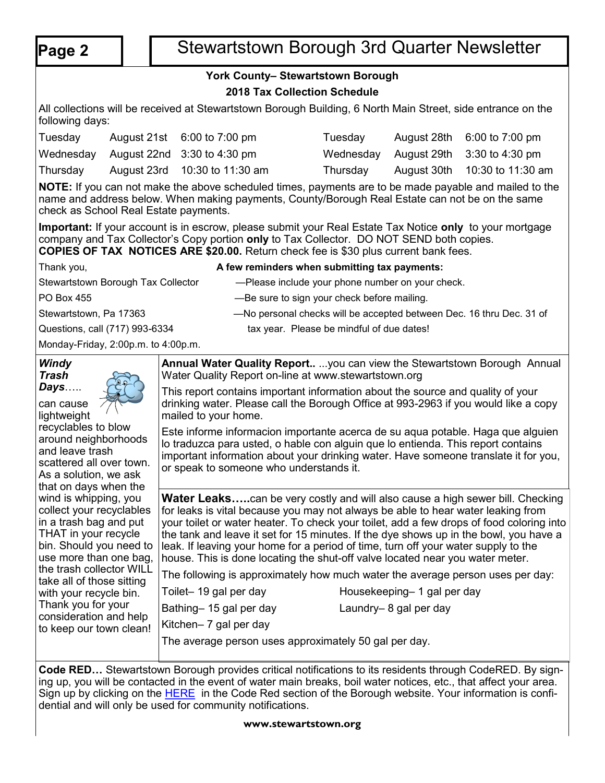# **Page 2** | Stewartstown Borough 3rd Quarter Newsletter

## **York County– Stewartstown Borough**

## **2018 Tax Collection Schedule**

All collections will be received at Stewartstown Borough Building, 6 North Main Street, side entrance on the following days:

| Tuesday  | August $21st$ 6:00 to 7:00 pm         | Tuesday  | August $28th$ 6:00 to 7:00 pm         |
|----------|---------------------------------------|----------|---------------------------------------|
|          | Wednesday August 22nd 3:30 to 4:30 pm |          | Wednesday August 29th 3:30 to 4:30 pm |
| Thursday | August 23rd 10:30 to 11:30 am         | Thursdav | August 30th 10:30 to 11:30 am         |

**NOTE:** If you can not make the above scheduled times, payments are to be made payable and mailed to the name and address below. When making payments, County/Borough Real Estate can not be on the same check as School Real Estate payments.

**Important:** If your account is in escrow, please submit your Real Estate Tax Notice **only** to your mortgage company and Tax Collector's Copy portion **only** to Tax Collector. DO NOT SEND both copies. **COPIES OF TAX NOTICES ARE \$20.00.** Return check fee is \$30 plus current bank fees.

| Thank you,                          | A few reminders when submitting tax payments:                        |
|-------------------------------------|----------------------------------------------------------------------|
| Stewartstown Borough Tax Collector  | -Please include your phone number on your check.                     |
| PO Box 455                          | -Be sure to sign your check before mailing.                          |
| Stewartstown, Pa 17363              | -No personal checks will be accepted between Dec. 16 thru Dec. 31 of |
| Questions, call (717) 993-6334      | tax year. Please be mindful of due dates!                            |
| Monday-Friday, 2:00p.m. to 4:00p.m. |                                                                      |

| Windy<br>Trash                                                                                                                                                                       | Annual Water Quality Report you can view the Stewartstown Borough Annual<br>Water Quality Report on-line at www.stewartstown.org                                                                                                                                                                                                                                                                                                                                                                                                      |
|--------------------------------------------------------------------------------------------------------------------------------------------------------------------------------------|---------------------------------------------------------------------------------------------------------------------------------------------------------------------------------------------------------------------------------------------------------------------------------------------------------------------------------------------------------------------------------------------------------------------------------------------------------------------------------------------------------------------------------------|
| Days<br>can cause<br>lightweight                                                                                                                                                     | This report contains important information about the source and quality of your<br>drinking water. Please call the Borough Office at 993-2963 if you would like a copy<br>mailed to your home.                                                                                                                                                                                                                                                                                                                                        |
| recyclables to blow<br>around neighborhoods<br>and leave trash<br>scattered all over town.<br>As a solution, we ask<br>that on days when the                                         | Este informe informacion importante acerca de su aqua potable. Haga que alguien<br>lo traduzca para usted, o hable con alguin que lo entienda. This report contains<br>important information about your drinking water. Have someone translate it for you,<br>or speak to someone who understands it.                                                                                                                                                                                                                                 |
| wind is whipping, you<br>collect your recyclables<br>in a trash bag and put<br>THAT in your recycle<br>bin. Should you need to<br>use more than one bag,<br>the trash collector WILL | <b>Water Leaks</b> can be very costly and will also cause a high sewer bill. Checking<br>for leaks is vital because you may not always be able to hear water leaking from<br>your toilet or water heater. To check your toilet, add a few drops of food coloring into<br>the tank and leave it set for 15 minutes. If the dye shows up in the bowl, you have a<br>leak. If leaving your home for a period of time, turn off your water supply to the<br>house. This is done locating the shut-off valve located near you water meter. |
| take all of those sitting                                                                                                                                                            | The following is approximately how much water the average person uses per day:<br>Toilet-19 gal per day<br>Housekeeping-1 gal per day                                                                                                                                                                                                                                                                                                                                                                                                 |
| with your recycle bin.<br>Thank you for your                                                                                                                                         | Laundry-8 gal per day<br>Bathing- 15 gal per day                                                                                                                                                                                                                                                                                                                                                                                                                                                                                      |
| consideration and help<br>to keep our town clean!                                                                                                                                    | Kitchen- 7 gal per day                                                                                                                                                                                                                                                                                                                                                                                                                                                                                                                |
|                                                                                                                                                                                      | The average person uses approximately 50 gal per day.                                                                                                                                                                                                                                                                                                                                                                                                                                                                                 |
| Code RED                                                                                                                                                                             | Stewartstown Borough provides critical potifications to its residents through CodeRED, By sign-                                                                                                                                                                                                                                                                                                                                                                                                                                       |

**Code RED…** Stewartstown Borough provides critical notifications to its residents through CodeRED. By signing up, you will be contacted in the event of water main breaks, boil water notices, etc., that affect your area. Sign up by clicking on the **[HERE](https://public.coderedweb.com/cne/en-us/f9ec63def2b4)** in the Code Red section of the Borough website. Your information is confidential and will only be used for community notifications.

### **www.stewartstown.org**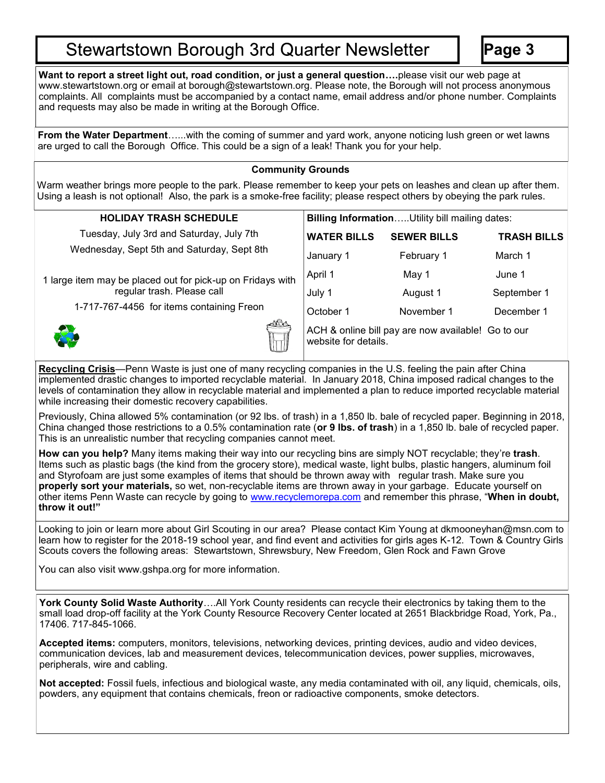## **Stewartstown Borough 3rd Quarter Newsletter**

**Page 3**

**Want to report a street light out, road condition, or just a general question….**please visit our web page at www.stewartstown.org or email at borough@stewartstown.org. Please note, the Borough will not process anonymous complaints. All complaints must be accompanied by a contact name, email address and/or phone number. Complaints and requests may also be made in writing at the Borough Office.

**From the Water Department**…...with the coming of summer and yard work, anyone noticing lush green or wet lawns are urged to call the Borough Office. This could be a sign of a leak! Thank you for your help.

### **Community Grounds**

Warm weather brings more people to the park. Please remember to keep your pets on leashes and clean up after them. Using a leash is not optional! Also, the park is a smoke-free facility; please respect others by obeying the park rules.

| <b>HOLIDAY TRASH SCHEDULE</b>                              | <b>Billing Information Utility bill mailing dates:</b>                     |                    |                    |
|------------------------------------------------------------|----------------------------------------------------------------------------|--------------------|--------------------|
| Tuesday, July 3rd and Saturday, July 7th                   | <b>WATER BILLS</b>                                                         | <b>SEWER BILLS</b> | <b>TRASH BILLS</b> |
| Wednesday, Sept 5th and Saturday, Sept 8th                 | January 1                                                                  | February 1         | March 1            |
| 1 large item may be placed out for pick-up on Fridays with | April 1                                                                    | May 1              | June 1             |
| regular trash. Please call                                 | July 1                                                                     | August 1           | September 1        |
| 1-717-767-4456 for items containing Freon                  | October 1                                                                  | November 1         | December 1         |
|                                                            | ACH & online bill pay are now available! Go to our<br>website for details. |                    |                    |

**Recycling Crisis**—Penn Waste is just one of many recycling companies in the U.S. feeling the pain after China implemented drastic changes to imported recyclable material. In January 2018, China imposed radical changes to the levels of contamination they allow in recyclable material and implemented a plan to reduce imported recyclable material while increasing their domestic recovery capabilities.

Previously, China allowed 5% contamination (or 92 lbs. of trash) in a 1,850 lb. bale of recycled paper. Beginning in 2018, China changed those restrictions to a 0.5% contamination rate (**or 9 lbs. of trash**) in a 1,850 lb. bale of recycled paper. This is an unrealistic number that recycling companies cannot meet.

**How can you help?** Many items making their way into our recycling bins are simply NOT recyclable; they're **trash**. Items such as plastic bags (the kind from the grocery store), medical waste, light bulbs, plastic hangers, aluminum foil and Styrofoam are just some examples of items that should be thrown away with regular trash. Make sure you **properly sort your materials,** so wet, non-recyclable items are thrown away in your garbage. Educate yourself on other items Penn Waste can recycle by going to [www.recyclemorepa.com](http://www.recyclemorepa.com) and remember this phrase, "**When in doubt, throw it out!"**

Looking to join or learn more about Girl Scouting in our area? Please contact Kim Young at dkmooneyhan@msn.com to learn how to register for the 2018-19 school year, and find event and activities for girls ages K-12. Town & Country Girls Scouts covers the following areas: Stewartstown, Shrewsbury, New Freedom, Glen Rock and Fawn Grove

You can also visit www.gshpa.org for more information.

**York County Solid Waste Authority**….All York County residents can recycle their electronics by taking them to the small load drop-off facility at the York County Resource Recovery Center located at 2651 Blackbridge Road, York, Pa., 17406. 717-845-1066.

**Accepted items:** computers, monitors, televisions, networking devices, printing devices, audio and video devices, communication devices, lab and measurement devices, telecommunication devices, power supplies, microwaves, peripherals, wire and cabling.

**Not accepted:** Fossil fuels, infectious and biological waste, any media contaminated with oil, any liquid, chemicals, oils, powders, any equipment that contains chemicals, freon or radioactive components, smoke detectors.